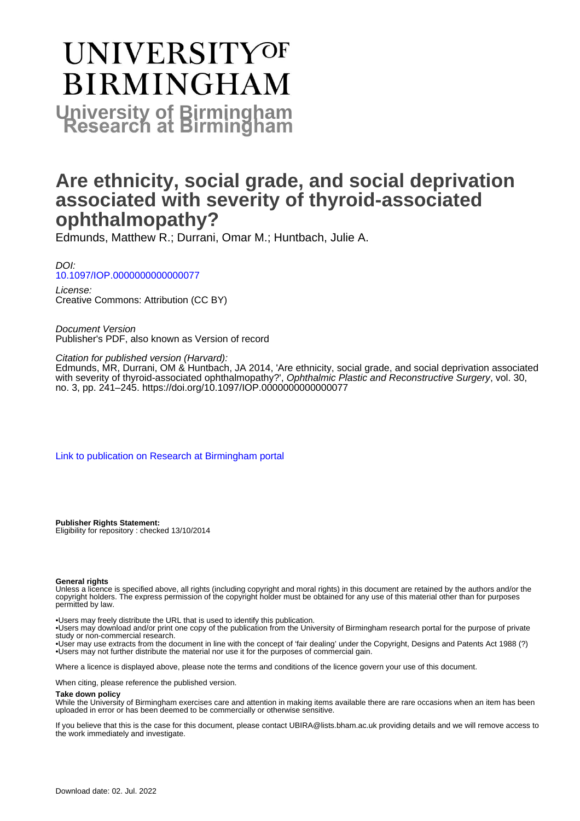# UNIVERSITYOF **BIRMINGHAM University of Birmingham**

## **Are ethnicity, social grade, and social deprivation associated with severity of thyroid-associated ophthalmopathy?**

Edmunds, Matthew R.; Durrani, Omar M.; Huntbach, Julie A.

DOI: [10.1097/IOP.0000000000000077](https://doi.org/10.1097/IOP.0000000000000077)

License: Creative Commons: Attribution (CC BY)

Document Version Publisher's PDF, also known as Version of record

Citation for published version (Harvard):

Edmunds, MR, Durrani, OM & Huntbach, JA 2014, 'Are ethnicity, social grade, and social deprivation associated with severity of thyroid-associated ophthalmopathy?', Ophthalmic Plastic and Reconstructive Surgery, vol. 30, no. 3, pp. 241–245. <https://doi.org/10.1097/IOP.0000000000000077>

[Link to publication on Research at Birmingham portal](https://birmingham.elsevierpure.com/en/publications/ec4f73eb-d2dc-495d-98ac-630819e75e51)

**Publisher Rights Statement:** Eligibility for repository : checked 13/10/2014

#### **General rights**

Unless a licence is specified above, all rights (including copyright and moral rights) in this document are retained by the authors and/or the copyright holders. The express permission of the copyright holder must be obtained for any use of this material other than for purposes permitted by law.

• Users may freely distribute the URL that is used to identify this publication.

• Users may download and/or print one copy of the publication from the University of Birmingham research portal for the purpose of private study or non-commercial research.

• User may use extracts from the document in line with the concept of 'fair dealing' under the Copyright, Designs and Patents Act 1988 (?) • Users may not further distribute the material nor use it for the purposes of commercial gain.

Where a licence is displayed above, please note the terms and conditions of the licence govern your use of this document.

When citing, please reference the published version.

#### **Take down policy**

While the University of Birmingham exercises care and attention in making items available there are rare occasions when an item has been uploaded in error or has been deemed to be commercially or otherwise sensitive.

If you believe that this is the case for this document, please contact UBIRA@lists.bham.ac.uk providing details and we will remove access to the work immediately and investigate.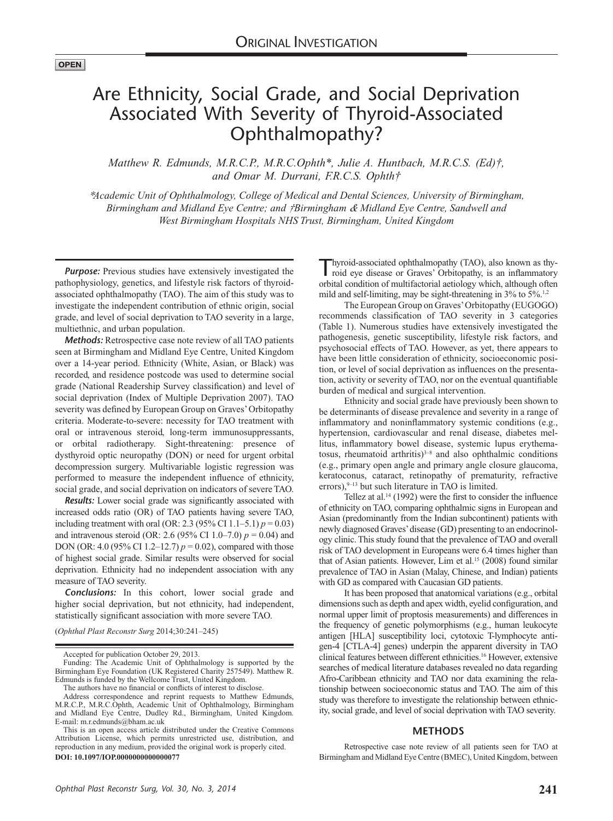### Are Ethnicity, Social Grade, and Social Deprivation Associated With Severity of Thyroid-Associated Ophthalmopathy?

*Matthew R. Edmunds, M.R.C.P., M.R.C.Ophth\*, Julie A. Huntbach, M.R.C.S. (Ed)†, and Omar M. Durrani, F.R.C.S. Ophth†*

*\*Academic Unit of Ophthalmology, College of Medical and Dental Sciences, University of Birmingham, Birmingham and Midland Eye Centre; and †Birmingham & Midland Eye Centre, Sandwell and West Birmingham Hospitals NHS Trust, Birmingham, United Kingdom*

*Purpose:* Previous studies have extensively investigated the pathophysiology, genetics, and lifestyle risk factors of thyroidassociated ophthalmopathy (TAO). The aim of this study was to investigate the independent contribution of ethnic origin, social grade, and level of social deprivation to TAO severity in a large, multiethnic, and urban population.

*Methods:* Retrospective case note review of all TAO patients seen at Birmingham and Midland Eye Centre, United Kingdom over a 14-year period. Ethnicity (White, Asian, or Black) was recorded, and residence postcode was used to determine social grade (National Readership Survey classification) and level of social deprivation (Index of Multiple Deprivation 2007). TAO severity was defined by European Group on Graves' Orbitopathy criteria. Moderate-to-severe: necessity for TAO treatment with oral or intravenous steroid, long-term immunosuppressants, or orbital radiotherapy. Sight-threatening: presence of dysthyroid optic neuropathy (DON) or need for urgent orbital decompression surgery. Multivariable logistic regression was performed to measure the independent influence of ethnicity, social grade, and social deprivation on indicators of severe TAO.

*Results:* Lower social grade was significantly associated with increased odds ratio (OR) of TAO patients having severe TAO, including treatment with oral (OR: 2.3 (95% CI 1.1–5.1)  $p = 0.03$ ) and intravenous steroid (OR: 2.6 (95% CI 1.0–7.0)  $p = 0.04$ ) and DON (OR: 4.0 (95% CI 1.2–12.7)  $p = 0.02$ ), compared with those of highest social grade. Similar results were observed for social deprivation. Ethnicity had no independent association with any measure of TAO severity.

*Conclusions:* In this cohort, lower social grade and higher social deprivation, but not ethnicity, had independent, statistically significant association with more severe TAO.

(*Ophthal Plast Reconstr Surg* 2014;30:241–245)

Thyroid-associated ophthalmopathy (TAO), also known as thy-roid eye disease or Graves' Orbitopathy, is an inflammatory orbital condition of multifactorial aetiology which, although often mild and self-limiting, may be sight-threatening in 3% to 5%.<sup>1,2</sup>

The European Group on Graves' Orbitopathy (EUGOGO) recommends classification of TAO severity in 3 categories (Table 1). Numerous studies have extensively investigated the pathogenesis, genetic susceptibility, lifestyle risk factors, and psychosocial effects of TAO. However, as yet, there appears to have been little consideration of ethnicity, socioeconomic position, or level of social deprivation as influences on the presentation, activity or severity of TAO, nor on the eventual quantifiable burden of medical and surgical intervention.

Ethnicity and social grade have previously been shown to be determinants of disease prevalence and severity in a range of inflammatory and noninflammatory systemic conditions (e.g., hypertension, cardiovascular and renal disease, diabetes mellitus, inflammatory bowel disease, systemic lupus erythematosus, rheumatoid arthritis) $3-8$  and also ophthalmic conditions (e.g., primary open angle and primary angle closure glaucoma, keratoconus, cataract, retinopathy of prematurity, refractive errors), $9-13$  but such literature in TAO is limited.

Tellez at al.<sup>14</sup> (1992) were the first to consider the influence of ethnicity on TAO, comparing ophthalmic signs in European and Asian (predominantly from the Indian subcontinent) patients with newly diagnosed Graves' disease (GD) presenting to an endocrinology clinic. This study found that the prevalence of TAO and overall risk of TAO development in Europeans were 6.4 times higher than that of Asian patients. However, Lim et al.<sup>15</sup> (2008) found similar prevalence of TAO in Asian (Malay, Chinese, and Indian) patients with GD as compared with Caucasian GD patients.

It has been proposed that anatomical variations (e.g., orbital dimensions such as depth and apex width, eyelid configuration, and normal upper limit of proptosis measurements) and differences in the frequency of genetic polymorphisms (e.g., human leukocyte antigen [HLA] susceptibility loci, cytotoxic T-lymphocyte antigen-4 [CTLA-4] genes) underpin the apparent diversity in TAO clinical features between different ethnicities.16 However, extensive searches of medical literature databases revealed no data regarding Afro-Caribbean ethnicity and TAO nor data examining the relationship between socioeconomic status and TAO. The aim of this study was therefore to investigate the relationship between ethnicity, social grade, and level of social deprivation with TAO severity.

#### **METHODS**

Retrospective case note review of all patients seen for TAO at **DOI: 10.1097/IOP.0000000000000077** Birmingham and Midland Eye Centre (BMEC), United Kingdom, between

Accepted for publication October 29, 2013.

Funding: The Academic Unit of Ophthalmology is supported by the Birmingham Eye Foundation (UK Registered Charity 257549). Matthew R. Edmunds is funded by the Wellcome Trust, United Kingdom.

The authors have no financial or conflicts of interest to disclose.

Address correspondence and reprint requests to Matthew Edmunds, M.R.C.P., M.R.C.Ophth, Academic Unit of Ophthalmology, Birmingham and Midland Eye Centre, Dudley Rd., Birmingham, United Kingdom. E-mail: [m.r.edmunds@bham.ac.uk](mailto:m.r.edmunds@bham.ac.uk)

This is an open access article distributed under the Creative Commons Attribution License, which permits unrestricted use, distribution, and reproduction in any medium, provided the original work is properly cited.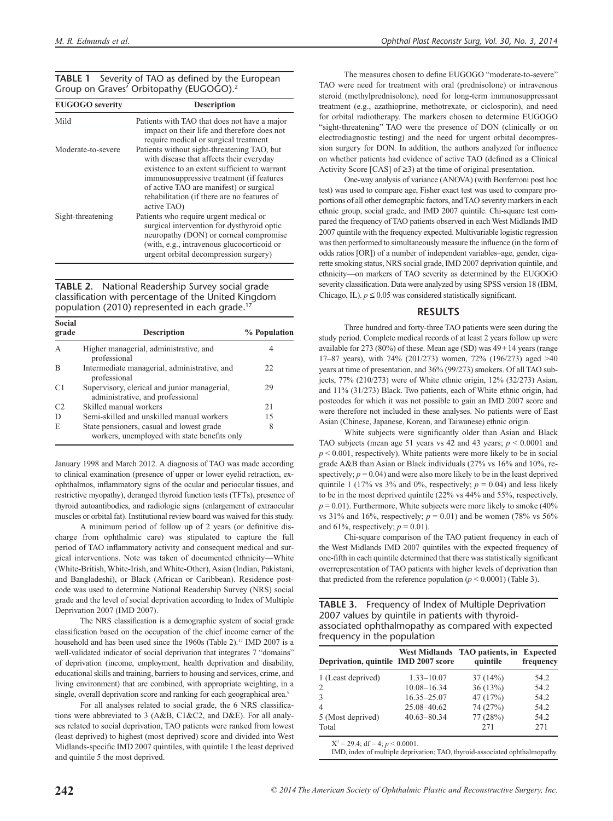#### **TABLE 1** Severity of TAO as defined by the European Group on Graves' Orbitopathy (EUGOGO).2

| <b>EUGOGO</b> severity | <b>Description</b>                                                                                                                                                                                                                                                                           |
|------------------------|----------------------------------------------------------------------------------------------------------------------------------------------------------------------------------------------------------------------------------------------------------------------------------------------|
| Mild                   | Patients with TAO that does not have a major<br>impact on their life and therefore does not<br>require medical or surgical treatment                                                                                                                                                         |
| Moderate-to-severe     | Patients without sight-threatening TAO, but<br>with disease that affects their everyday<br>existence to an extent sufficient to warrant<br>immunosuppressive treatment (if features<br>of active TAO are manifest) or surgical<br>rehabilitation (if there are no features of<br>active TAO) |
| Sight-threatening      | Patients who require urgent medical or<br>surgical intervention for dysthyroid optic<br>neuropathy (DON) or corneal compromise<br>(with, e.g., intravenous glucocorticoid or<br>urgent orbital decompression surgery)                                                                        |

**TABLE 2.** National Readership Survey social grade classification with percentage of the United Kingdom population (2010) represented in each grade.<sup>1</sup>

| <b>Social</b><br>grade | <b>Description</b>                                                                        | % Population |
|------------------------|-------------------------------------------------------------------------------------------|--------------|
| A                      | Higher managerial, administrative, and<br>professional                                    |              |
| B                      | Intermediate managerial, administrative, and<br>professional                              | 22.          |
| C1                     | Supervisory, clerical and junior managerial,<br>administrative, and professional          | 29           |
| C <sub>2</sub>         | Skilled manual workers                                                                    | 2.1          |
| D                      | Semi-skilled and unskilled manual workers                                                 | 15           |
| E                      | State pensioners, casual and lowest grade<br>workers, unemployed with state benefits only | 8            |

January 1998 and March 2012. A diagnosis of TAO was made according to clinical examination (presence of upper or lower eyelid retraction, exophthalmos, inflammatory signs of the ocular and periocular tissues, and restrictive myopathy), deranged thyroid function tests (TFTs), presence of thyroid autoantibodies, and radiologic signs (enlargement of extraocular muscles or orbital fat). Institutional review board was waived for this study.

A minimum period of follow up of 2 years (or definitive discharge from ophthalmic care) was stipulated to capture the full period of TAO inflammatory activity and consequent medical and surgical interventions. Note was taken of documented ethnicity—White (White-British, White-Irish, and White-Other), Asian (Indian, Pakistani, and Bangladeshi), or Black (African or Caribbean). Residence postcode was used to determine National Readership Survey (NRS) social grade and the level of social deprivation according to Index of Multiple Deprivation 2007 (IMD 2007).

The NRS classification is a demographic system of social grade classification based on the occupation of the chief income earner of the household and has been used since the 1960s (Table 2).<sup>17</sup> IMD 2007 is a well-validated indicator of social deprivation that integrates 7 "domains" of deprivation (income, employment, health deprivation and disability, educational skills and training, barriers to housing and services, crime, and living environment) that are combined, with appropriate weighting, in a single, overall deprivation score and ranking for each geographical area.<sup>9</sup>

For all analyses related to social grade, the 6 NRS classifications were abbreviated to 3 (A&B, C1&C2, and D&E). For all analyses related to social deprivation, TAO patients were ranked from lowest (least deprived) to highest (most deprived) score and divided into West Midlands-specific IMD 2007 quintiles, with quintile 1 the least deprived and quintile 5 the most deprived.

The measures chosen to define EUGOGO "moderate-to-severe" TAO were need for treatment with oral (prednisolone) or intravenous steroid (methylprednisolone), need for long-term immunosuppressant treatment (e.g., azathioprine, methotrexate, or ciclosporin), and need for orbital radiotherapy. The markers chosen to determine EUGOGO "sight-threatening" TAO were the presence of DON (clinically or on electrodiagnostic testing) and the need for urgent orbital decompression surgery for DON. In addition, the authors analyzed for influence on whether patients had evidence of active TAO (defined as a Clinical Activity Score [CAS] of ≥3) at the time of original presentation.

One-way analysis of variance (ANOVA) (with Bonferroni post hoc test) was used to compare age, Fisher exact test was used to compare proportions of all other demographic factors, and TAO severity markers in each ethnic group, social grade, and IMD 2007 quintile. Chi-square test compared the frequency of TAO patients observed in each West Midlands IMD 2007 quintile with the frequency expected. Multivariable logistic regression was then performed to simultaneously measure the influence (in the form of odds ratios [OR]) of a number of independent variables–age, gender, cigarette smoking status, NRS social grade, IMD 2007 deprivation quintile, and ethnicity—on markers of TAO severity as determined by the EUGOGO severity classification. Data were analyzed by using SPSS version 18 (IBM, Chicago, IL).  $p \le 0.05$  was considered statistically significant.

#### **RESULTS**

Three hundred and forty-three TAO patients were seen during the study period. Complete medical records of at least 2 years follow up were available for 273 (80%) of these. Mean age (SD) was 49±14 years (range 17–87 years), with 74% (201/273) women, 72% (196/273) aged >40 years at time of presentation, and 36% (99/273) smokers. Of all TAO subjects, 77% (210/273) were of White ethnic origin, 12% (32/273) Asian, and 11% (31/273) Black. Two patients, each of White ethnic origin, had postcodes for which it was not possible to gain an IMD 2007 score and were therefore not included in these analyses. No patients were of East Asian (Chinese, Japanese, Korean, and Taiwanese) ethnic origin.

White subjects were significantly older than Asian and Black TAO subjects (mean age 51 years vs 42 and 43 years;  $p \le 0.0001$  and  $p < 0.001$ , respectively). White patients were more likely to be in social grade A&B than Asian or Black individuals (27% vs 16% and 10%, respectively;  $p = 0.04$ ) and were also more likely to be in the least deprived quintile 1 (17% vs 3% and 0%, respectively;  $p = 0.04$ ) and less likely to be in the most deprived quintile (22% vs 44% and 55%, respectively,  $p = 0.01$ ). Furthermore, White subjects were more likely to smoke (40%) vs 31% and 16%, respectively;  $p = 0.01$ ) and be women (78% vs 56%) and 61%, respectively;  $p = 0.01$ ).

Chi-square comparison of the TAO patient frequency in each of the West Midlands IMD 2007 quintiles with the expected frequency of one-fifth in each quintile determined that there was statistically significant overrepresentation of TAO patients with higher levels of deprivation than that predicted from the reference population  $(p < 0.0001)$  (Table 3).

**TABLE 3.** Frequency of Index of Multiple Deprivation 2007 values by quintile in patients with thyroidassociated ophthalmopathy as compared with expected frequency in the population

| Deprivation, quintile IMD 2007 score |                 | West Midlands TAO patients, in<br>quintile | <b>Expected</b><br>frequency |
|--------------------------------------|-----------------|--------------------------------------------|------------------------------|
| 1 (Least deprived)                   | $1.33 - 10.07$  | 37(14%)                                    | 54.2                         |
| 2                                    | $10.08 - 16.34$ | 36(13%)                                    | 54.2                         |
| 3                                    | $16.35 - 25.07$ | 47(17%)                                    | 54.2                         |
| $\overline{4}$                       | 25.08 - 40.62   | 74 (27%)                                   | 54.2                         |
| 5 (Most deprived)                    | $40.63 - 80.34$ | 77 (28%)                                   | 54.2                         |
| Total                                |                 | 2.71                                       | 271                          |

 $X^2 = 29.4$ ; df = 4;  $p \le 0.0001$ .

IMD, index of multiple deprivation; TAO, thyroid-associated ophthalmopathy.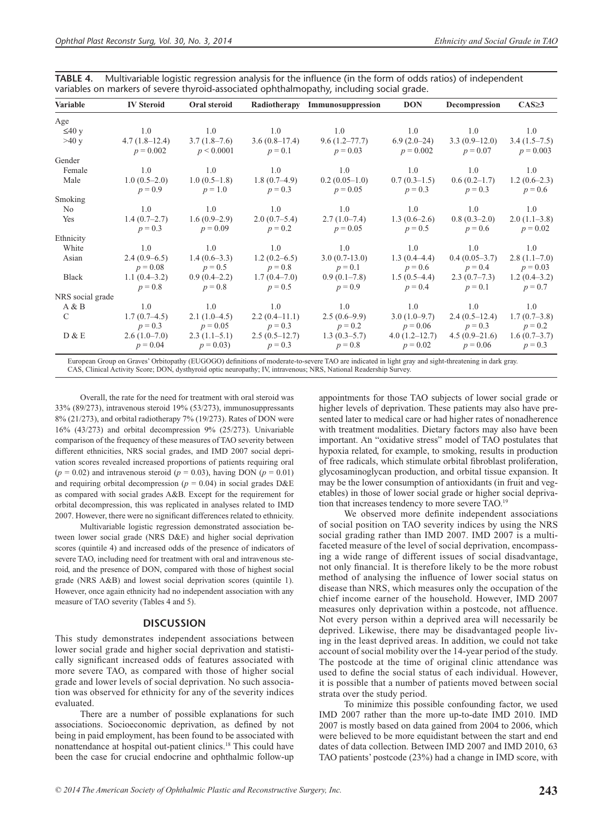| TABLE 4. Multivariable logistic regression analysis for the influence (in the form of odds ratios) of independent |
|-------------------------------------------------------------------------------------------------------------------|
| variables on markers of severe thyroid-associated ophthalmopathy, including social grade.                         |

| <b>Variable</b>  | <b>IV Steroid</b>              | Oral steroid                 |                              | Radiotherapy Immunosuppression | <b>DON</b>                   | Decompression                 | $CAS \geq 3$                  |
|------------------|--------------------------------|------------------------------|------------------------------|--------------------------------|------------------------------|-------------------------------|-------------------------------|
| Age              |                                |                              |                              |                                |                              |                               |                               |
| $\leq 40$ y      | 1.0                            | 1.0                          | 1.0                          | 1.0                            | 1.0                          | 1.0                           | 1.0                           |
| >40 y            | $4.7(1.8-12.4)$<br>$p = 0.002$ | $3.7(1.8-7.6)$<br>p < 0.0001 | $3.6(0.8-17.4)$<br>$p = 0.1$ | 9.6(1.2–77.7)<br>$p = 0.03$    | $6.9(2.0-24)$<br>$p = 0.002$ | $3.3(0.9-12.0)$<br>$p = 0.07$ | $3.4(1.5-7.5)$<br>$p = 0.003$ |
| Gender           |                                |                              |                              |                                |                              |                               |                               |
| Female           | 1.0                            | 1.0                          | 1.0                          | 1.0                            | 1.0                          | 1.0                           | 1.0                           |
| Male             | $1.0(0.5-2.0)$<br>$p = 0.9$    | $1.0(0.5-1.8)$<br>$p = 1.0$  | $1.8(0.7-4.9)$<br>$p = 0.3$  | $0.2(0.05-1.0)$<br>$p = 0.05$  | $0.7(0.3-1.5)$<br>$p = 0.3$  | $0.6(0.2-1.7)$<br>$p = 0.3$   | $1.2(0.6-2.3)$<br>$p = 0.6$   |
| Smoking          |                                |                              |                              |                                |                              |                               |                               |
| N <sub>0</sub>   | 1.0                            | 1.0                          | 1.0                          | 1.0                            | 1.0                          | 1.0                           | 1.0                           |
| Yes              | $1.4(0.7-2.7)$<br>$p = 0.3$    | $1.6(0.9-2.9)$<br>$p = 0.09$ | $2.0(0.7-5.4)$<br>$p = 0.2$  | $2.7(1.0-7.4)$<br>$p = 0.05$   | $1.3(0.6-2.6)$<br>$p = 0.5$  | $0.8(0.3-2.0)$<br>$p = 0.6$   | $2.0(1.1-3.8)$<br>$p = 0.02$  |
| Ethnicity        |                                |                              |                              |                                |                              |                               |                               |
| White            | 1.0                            | 1.0                          | 1.0                          | 1.0                            | 1.0                          | 1.0                           | 1.0                           |
| Asian            | $2.4(0.9-6.5)$<br>$p = 0.08$   | $1.4(0.6-3.3)$<br>$p = 0.5$  | $1.2(0.2-6.5)$<br>$p = 0.8$  | $3.0(0.7-13.0)$<br>$p = 0.1$   | $1.3(0.4-4.4)$<br>$p = 0.6$  | $0.4(0.05-3.7)$<br>$p = 0.4$  | $2.8(1.1-7.0)$<br>$p = 0.03$  |
| Black            | $1.1(0.4-3.2)$<br>$p = 0.8$    | $0.9(0.4-2.2)$<br>$p = 0.8$  | $1.7(0.4-7.0)$<br>$p = 0.5$  | $0.9(0.1-7.8)$<br>$p = 0.9$    | $1.5(0.5-4.4)$<br>$p = 0.4$  | $2.3(0.7-7.3)$<br>$p = 0.1$   | $1.2(0.4-3.2)$<br>$p = 0.7$   |
| NRS social grade |                                |                              |                              |                                |                              |                               |                               |
| A & B            | 1.0                            | 1.0                          | 1.0                          | 1.0                            | 1.0                          | 1.0                           | 1.0                           |
| $\mathcal{C}$    | $1.7(0.7-4.5)$<br>$p = 0.3$    | $2.1(1.0-4.5)$<br>$p = 0.05$ | $2.2(0.4-11.1)$<br>$p = 0.3$ | $2.5(0.6-9.9)$<br>$p = 0.2$    | $3.0(1.0-9.7)$<br>$p = 0.06$ | $2.4(0.5-12.4)$<br>$p = 0.3$  | $1.7(0.7-3.8)$<br>$p = 0.2$   |
| D & E            | $2.6(1.0-7.0)$<br>$p = 0.04$   | $2.3(1.1-5.1)$<br>$p = 0.03$ | $2.5(0.5-12.7)$<br>$p = 0.3$ | $1.3(0.3-5.7)$<br>$p = 0.8$    | 4.0(1.2–12.7)<br>$p = 0.02$  | $4.5(0.9-21.6)$<br>$p = 0.06$ | $1.6(0.7-3.7)$<br>$p = 0.3$   |

European Group on Graves' Orbitopathy (EUGOGO) definitions of moderate-to-severe TAO are indicated in light gray and sight-threatening in dark gray. CAS, Clinical Activity Score; DON, dysthyroid optic neuropathy; IV, intravenous; NRS, National Readership Survey.

Overall, the rate for the need for treatment with oral steroid was 33% (89/273), intravenous steroid 19% (53/273), immunosuppressants 8% (21/273), and orbital radiotherapy 7% (19/273). Rates of DON were 16% (43/273) and orbital decompression 9% (25/273). Univariable comparison of the frequency of these measures of TAO severity between different ethnicities, NRS social grades, and IMD 2007 social deprivation scores revealed increased proportions of patients requiring oral  $(p = 0.02)$  and intravenous steroid  $(p = 0.03)$ , having DON  $(p = 0.01)$ and requiring orbital decompression ( $p = 0.04$ ) in social grades D&E as compared with social grades A&B. Except for the requirement for orbital decompression, this was replicated in analyses related to IMD 2007. However, there were no significant differences related to ethnicity.

Multivariable logistic regression demonstrated association between lower social grade (NRS D&E) and higher social deprivation scores (quintile 4) and increased odds of the presence of indicators of severe TAO, including need for treatment with oral and intravenous steroid, and the presence of DON, compared with those of highest social grade (NRS A&B) and lowest social deprivation scores (quintile 1). However, once again ethnicity had no independent association with any measure of TAO severity (Tables 4 and 5).

#### **DISCUSSION**

This study demonstrates independent associations between lower social grade and higher social deprivation and statistically significant increased odds of features associated with more severe TAO, as compared with those of higher social grade and lower levels of social deprivation. No such association was observed for ethnicity for any of the severity indices evaluated.

There are a number of possible explanations for such associations. Socioeconomic deprivation, as defined by not being in paid employment, has been found to be associated with nonattendance at hospital out-patient clinics.18 This could have been the case for crucial endocrine and ophthalmic follow-up appointments for those TAO subjects of lower social grade or higher levels of deprivation. These patients may also have presented later to medical care or had higher rates of nonadherence with treatment modalities. Dietary factors may also have been important. An "oxidative stress" model of TAO postulates that hypoxia related, for example, to smoking, results in production of free radicals, which stimulate orbital fibroblast proliferation, glycosaminoglycan production, and orbital tissue expansion. It may be the lower consumption of antioxidants (in fruit and vegetables) in those of lower social grade or higher social deprivation that increases tendency to more severe TAO.19

We observed more definite independent associations of social position on TAO severity indices by using the NRS social grading rather than IMD 2007. IMD 2007 is a multifaceted measure of the level of social deprivation, encompassing a wide range of different issues of social disadvantage, not only financial. It is therefore likely to be the more robust method of analysing the influence of lower social status on disease than NRS, which measures only the occupation of the chief income earner of the household. However, IMD 2007 measures only deprivation within a postcode, not affluence. Not every person within a deprived area will necessarily be deprived. Likewise, there may be disadvantaged people living in the least deprived areas. In addition, we could not take account of social mobility over the 14-year period of the study. The postcode at the time of original clinic attendance was used to define the social status of each individual. However, it is possible that a number of patients moved between social strata over the study period.

To minimize this possible confounding factor, we used IMD 2007 rather than the more up-to-date IMD 2010. IMD 2007 is mostly based on data gained from 2004 to 2006, which were believed to be more equidistant between the start and end dates of data collection. Between IMD 2007 and IMD 2010, 63 TAO patients' postcode (23%) had a change in IMD score, with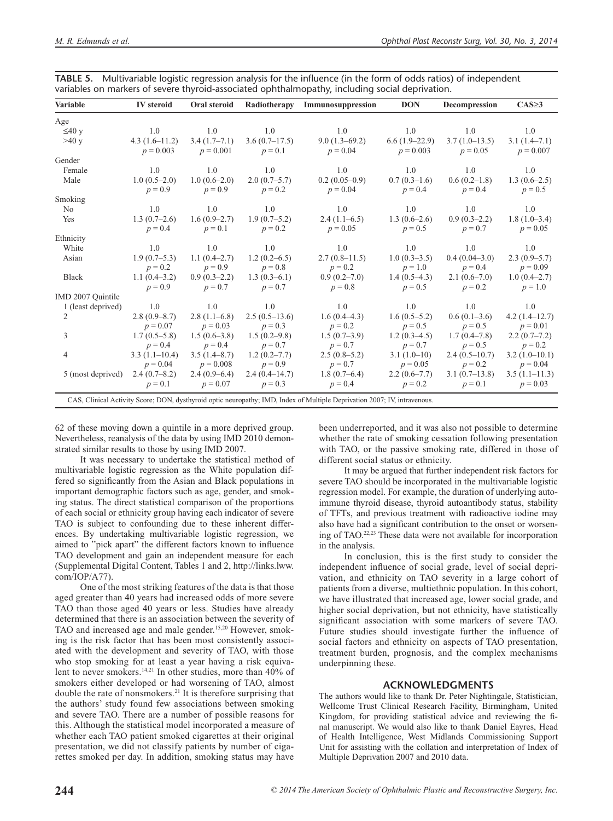| Variable                                                                                                                  | <b>IV</b> steroid | Oral steroid   | Radiotherapy     | Immunosuppression | <b>DON</b>      | Decompression    | $CAS \geq 3$    |
|---------------------------------------------------------------------------------------------------------------------------|-------------------|----------------|------------------|-------------------|-----------------|------------------|-----------------|
| Age                                                                                                                       |                   |                |                  |                   |                 |                  |                 |
| $\leq 40$ y                                                                                                               | 1.0               | 1.0            | 1.0              | 1.0               | 1.0             | 1.0              | 1.0             |
| >40 y                                                                                                                     | $4.3(1.6-11.2)$   | $3.4(1.7-7.1)$ | $3.6(0.7-17.5)$  | $9.0(1.3-69.2)$   | $6.6(1.9-22.9)$ | $3.7(1.0-13.5)$  | $3.1(1.4-7.1)$  |
|                                                                                                                           | $p = 0.003$       | $p = 0.001$    | $p = 0.1$        | $p = 0.04$        | $p = 0.003$     | $p = 0.05$       | $p = 0.007$     |
| Gender                                                                                                                    |                   |                |                  |                   |                 |                  |                 |
| Female                                                                                                                    | 1.0               | 1.0            | 1.0              | 1.0               | 1.0             | 1.0              | 1.0             |
| Male                                                                                                                      | $1.0(0.5-2.0)$    | $1.0(0.6-2.0)$ | $2.0(0.7-5.7)$   | $0.2(0.05-0.9)$   | $0.7(0.3-1.6)$  | $0.6(0.2-1.8)$   | $1.3(0.6-2.5)$  |
|                                                                                                                           | $p = 0.9$         | $p = 0.9$      | $p = 0.2$        | $p = 0.04$        | $p = 0.4$       | $p = 0.4$        | $p = 0.5$       |
| Smoking                                                                                                                   |                   |                |                  |                   |                 |                  |                 |
| N <sub>o</sub>                                                                                                            | 1.0               | 1.0            | 1.0              | 1.0               | 1.0             | 1.0              | 1.0             |
| Yes                                                                                                                       | $1.3(0.7-2.6)$    | $1.6(0.9-2.7)$ | $1.9(0.7-5.2)$   | $2.4(1.1-6.5)$    | $1.3(0.6-2.6)$  | $0.9(0.3-2.2)$   | $1.8(1.0-3.4)$  |
|                                                                                                                           | $p = 0.4$         | $p = 0.1$      | $p = 0.2$        | $p = 0.05$        | $p = 0.5$       | $p = 0.7$        | $p = 0.05$      |
| Ethnicity                                                                                                                 |                   |                |                  |                   |                 |                  |                 |
| White                                                                                                                     | 1.0               | 1.0            | - 1.0            | 1.0               | 1.0             | 1.0              | 1.0             |
| Asian                                                                                                                     | $1.9(0.7-5.3)$    | $1.1(0.4-2.7)$ | $1.2(0.2-6.5)$   | $2.7(0.8-11.5)$   | $1.0(0.3-3.5)$  | $0.4(0.04-3.0)$  | $2.3(0.9-5.7)$  |
|                                                                                                                           | $p = 0.2$         | $p = 0.9$      | $p = 0.8$        | $p = 0.2$         | $p = 1.0$       | $p = 0.4$        | $p = 0.09$      |
| <b>Black</b>                                                                                                              | $1.1(0.4-3.2)$    | $0.9(0.3-2.2)$ | $1.3(0.3-6.1)$   | $0.9(0.2-7.0)$    | $1.4(0.5-4.3)$  | $2.1(0.6-7.0)$   | $1.0(0.4-2.7)$  |
|                                                                                                                           | $p = 0.9$         | $p = 0.7$      | $p = 0.7$        | $p = 0.8$         | $p = 0.5$       | $p = 0.2$        | $p = 1.0$       |
| IMD 2007 Quintile                                                                                                         |                   |                |                  |                   |                 |                  |                 |
| 1 (least deprived)                                                                                                        | 1.0               | 1.0            | 1.0              | 1.0               | 1.0             | 1.0              | 1.0             |
| 2                                                                                                                         | $2.8(0.9 - 8.7)$  | $2.8(1.1-6.8)$ | $2.5(0.5-13.6)$  | 1.6(0.4–4.3)      | $1.6(0.5-5.2)$  | $0.6(0.1-3.6)$   | $4.2(1.4-12.7)$ |
|                                                                                                                           | $p = 0.07$        | $p = 0.03$     | $p = 0.3$        | $p = 0.2$         | $p = 0.5$       | $p = 0.5$        | $p = 0.01$      |
| 3                                                                                                                         | $1.7(0.5-5.8)$    | $1.5(0.6-3.8)$ | $1.5(0.2 - 9.8)$ | $1.5(0.7-3.9)$    | $1.2(0.3-4.5)$  | $1.7(0.4 - 7.8)$ | $2.2(0.7-7.2)$  |
|                                                                                                                           | $p = 0.4$         | $p = 0.4$      | $p = 0.7$        | $p = 0.7$         | $p = 0.7$       | $p = 0.5$        | $p = 0.2$       |
| $\overline{4}$                                                                                                            | $3.3(1.1-10.4)$   | 3.5(1.4–8.7)   | $1.2(0.2 - 7.7)$ | $2.5(0.8-5.2)$    | $3.1(1.0-10)$   | $2.4(0.5-10.7)$  | $3.2(1.0-10.1)$ |
|                                                                                                                           | $p = 0.04$        | $p = 0.008$    | $p = 0.9$        | $p = 0.7$         | $p = 0.05$      | $p = 0.2$        | $p = 0.04$      |
| 5 (most deprived)                                                                                                         | $2.4(0.7-8.2)$    | $2.4(0.9-6.4)$ | $2.4(0.4-14.7)$  | 1.8(0.7–6.4)      | $2.2(0.6-7.7)$  | $3.1(0.7-13.8)$  | $3.5(1.1-11.3)$ |
|                                                                                                                           | $p = 0.1$         | $p = 0.07$     | $p = 0.3$        | $p = 0.4$         | $p = 0.2$       | $p = 0.1$        | $p = 0.03$      |
| CAS, Clinical Activity Score; DON, dysthyroid optic neuropathy; IMD, Index of Multiple Deprivation 2007; IV, intravenous. |                   |                |                  |                   |                 |                  |                 |

**TABLE 5.** Multivariable logistic regression analysis for the influence (in the form of odds ratios) of independent variables on markers of severe thyroid-associated ophthalmopathy, including social deprivation.

62 of these moving down a quintile in a more deprived group. Nevertheless, reanalysis of the data by using IMD 2010 demonstrated similar results to those by using IMD 2007.

It was necessary to undertake the statistical method of multivariable logistic regression as the White population differed so significantly from the Asian and Black populations in important demographic factors such as age, gender, and smoking status. The direct statistical comparison of the proportions of each social or ethnicity group having each indicator of severe TAO is subject to confounding due to these inherent differences. By undertaking multivariable logistic regression, we aimed to "pick apart" the different factors known to influence TAO development and gain an independent measure for each (Supplemental Digital Content, Tables 1 and 2, [http://links.lww.](http://links.lww.com/IOP/A77) [com/IOP/A77\)](http://links.lww.com/IOP/A77).

One of the most striking features of the data is that those aged greater than 40 years had increased odds of more severe TAO than those aged 40 years or less. Studies have already determined that there is an association between the severity of TAO and increased age and male gender.<sup>15,20</sup> However, smoking is the risk factor that has been most consistently associated with the development and severity of TAO, with those who stop smoking for at least a year having a risk equivalent to never smokers.<sup>14,21</sup> In other studies, more than 40% of smokers either developed or had worsening of TAO, almost double the rate of nonsmokers.21 It is therefore surprising that the authors' study found few associations between smoking and severe TAO. There are a number of possible reasons for this. Although the statistical model incorporated a measure of whether each TAO patient smoked cigarettes at their original presentation, we did not classify patients by number of cigarettes smoked per day. In addition, smoking status may have

been underreported, and it was also not possible to determine whether the rate of smoking cessation following presentation with TAO, or the passive smoking rate, differed in those of different social status or ethnicity.

It may be argued that further independent risk factors for severe TAO should be incorporated in the multivariable logistic regression model. For example, the duration of underlying autoimmune thyroid disease, thyroid autoantibody status, stability of TFTs, and previous treatment with radioactive iodine may also have had a significant contribution to the onset or worsening of TAO.22,23 These data were not available for incorporation in the analysis.

In conclusion, this is the first study to consider the independent influence of social grade, level of social deprivation, and ethnicity on TAO severity in a large cohort of patients from a diverse, multiethnic population. In this cohort, we have illustrated that increased age, lower social grade, and higher social deprivation, but not ethnicity, have statistically significant association with some markers of severe TAO. Future studies should investigate further the influence of social factors and ethnicity on aspects of TAO presentation, treatment burden, prognosis, and the complex mechanisms underpinning these.

#### **ACKNOWLEDGMENTS**

The authors would like to thank Dr. Peter Nightingale, Statistician, Wellcome Trust Clinical Research Facility, Birmingham, United Kingdom, for providing statistical advice and reviewing the final manuscript. We would also like to thank Daniel Eayres, Head of Health Intelligence, West Midlands Commissioning Support Unit for assisting with the collation and interpretation of Index of Multiple Deprivation 2007 and 2010 data.